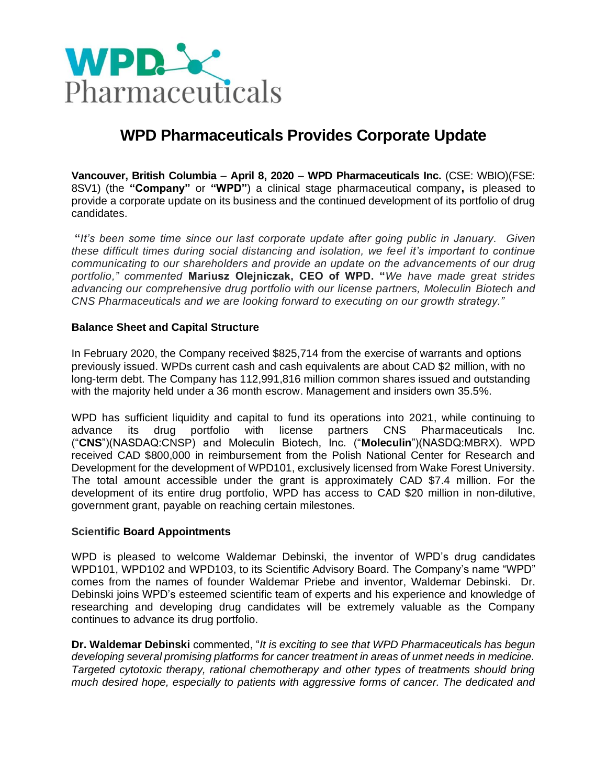

# **WPD Pharmaceuticals Provides Corporate Update**

**Vancouver, British Columbia** – **April 8, 2020** – **WPD Pharmaceuticals Inc.** (CSE: WBIO)(FSE: 8SV1) (the **"Company"** or **"WPD"**) a clinical stage pharmaceutical company**,** is pleased to provide a corporate update on its business and the continued development of its portfolio of drug candidates.

**"***It's been some time since our last corporate update after going public in January. Given these difficult times during social distancing and isolation, we feel it's important to continue communicating to our shareholders and provide an update on the advancements of our drug portfolio," commented* **Mariusz Olejniczak, CEO of WPD. "***We have made great strides advancing our comprehensive drug portfolio with our license partners, Moleculin Biotech and CNS Pharmaceuticals and we are looking forward to executing on our growth strategy."*

#### **Balance Sheet and Capital Structure**

In February 2020, the Company received \$825,714 from the exercise of warrants and options previously issued. WPDs current cash and cash equivalents are about CAD \$2 million, with no long-term debt. The Company has 112,991,816 million common shares issued and outstanding with the majority held under a 36 month escrow. Management and insiders own 35.5%.

WPD has sufficient liquidity and capital to fund its operations into 2021, while continuing to advance its drug portfolio with license partners CNS Pharmaceuticals Inc. ("**CNS**")(NASDAQ:CNSP) and Moleculin Biotech, Inc. ("**Moleculin**")(NASDQ:MBRX). WPD received CAD \$800,000 in reimbursement from the Polish National Center for Research and Development for the development of WPD101, exclusively licensed from Wake Forest University. The total amount accessible under the grant is approximately CAD \$7.4 million. For the development of its entire drug portfolio, WPD has access to CAD \$20 million in non-dilutive, government grant, payable on reaching certain milestones.

#### **Scientific Board Appointments**

WPD is pleased to welcome Waldemar Debinski, the inventor of WPD's drug candidates WPD101, WPD102 and WPD103, to its Scientific Advisory Board. The Company's name "WPD" comes from the names of founder Waldemar Priebe and inventor, Waldemar Debinski. Dr. Debinski joins WPD's esteemed scientific team of experts and his experience and knowledge of researching and developing drug candidates will be extremely valuable as the Company continues to advance its drug portfolio.

**Dr. Waldemar Debinski** commented, "*It is exciting to see that WPD Pharmaceuticals has begun developing several promising platforms for cancer treatment in areas of unmet needs in medicine. Targeted cytotoxic therapy, rational chemotherapy and other types of treatments should bring much desired hope, especially to patients with aggressive forms of cancer. The dedicated and*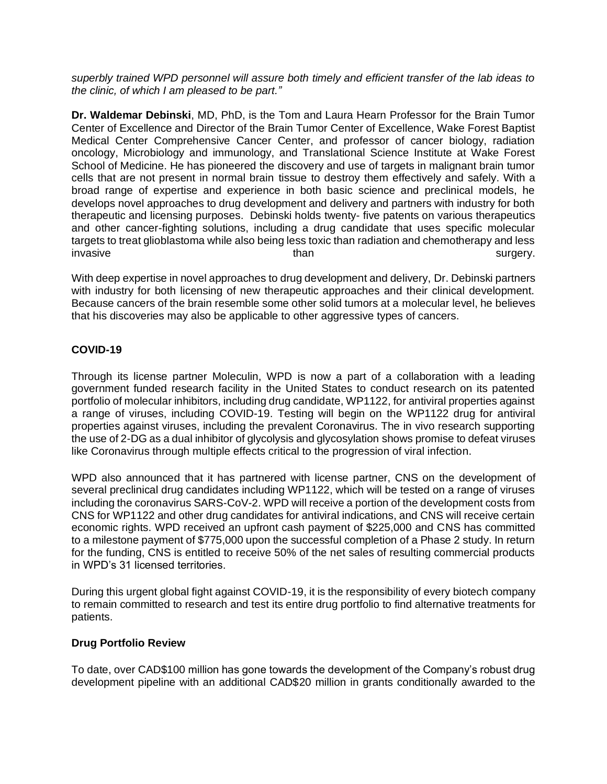*superbly trained WPD personnel will assure both timely and efficient transfer of the lab ideas to the clinic, of which I am pleased to be part."*

**Dr. Waldemar Debinski**, MD, PhD, is the Tom and Laura Hearn Professor for the Brain Tumor Center of Excellence and Director of the Brain Tumor Center of Excellence, Wake Forest Baptist Medical Center Comprehensive Cancer Center, and professor of cancer biology, radiation oncology, Microbiology and immunology, and Translational Science Institute at Wake Forest School of Medicine. He has pioneered the discovery and use of targets in malignant brain tumor cells that are not present in normal brain tissue to destroy them effectively and safely. With a broad range of expertise and experience in both basic science and preclinical models, he develops novel approaches to drug development and delivery and partners with industry for both therapeutic and licensing purposes. Debinski holds twenty- five patents on various therapeutics and other cancer-fighting solutions, including a drug candidate that uses specific molecular targets to treat glioblastoma while also being less toxic than radiation and chemotherapy and less invasive surgery.

With deep expertise in novel approaches to drug development and delivery, Dr. Debinski partners with industry for both licensing of new therapeutic approaches and their clinical development. Because cancers of the brain resemble some other solid tumors at a molecular level, he believes that his discoveries may also be applicable to other aggressive types of cancers.

# **COVID-19**

Through its license partner Moleculin, WPD is now a part of a collaboration with a leading government funded research facility in the United States to conduct research on its patented portfolio of molecular inhibitors, including drug candidate, WP1122, for antiviral properties against a range of viruses, including COVID-19. Testing will begin on the WP1122 drug for antiviral properties against viruses, including the prevalent Coronavirus. The in vivo research supporting the use of 2-DG as a dual inhibitor of glycolysis and glycosylation shows promise to defeat viruses like Coronavirus through multiple effects critical to the progression of viral infection.

WPD also announced that it has partnered with license partner, CNS on the development of several preclinical drug candidates including WP1122, which will be tested on a range of viruses including the coronavirus SARS-CoV-2. WPD will receive a portion of the development costs from CNS for WP1122 and other drug candidates for antiviral indications, and CNS will receive certain economic rights. WPD received an upfront cash payment of \$225,000 and CNS has committed to a milestone payment of \$775,000 upon the successful completion of a Phase 2 study. In return for the funding, CNS is entitled to receive 50% of the net sales of resulting commercial products in WPD's 31 licensed territories.

During this urgent global fight against COVID-19, it is the responsibility of every biotech company to remain committed to research and test its entire drug portfolio to find alternative treatments for patients.

# **Drug Portfolio Review**

To date, over CAD\$100 million has gone towards the development of the Company's robust drug development pipeline with an additional CAD\$20 million in grants conditionally awarded to the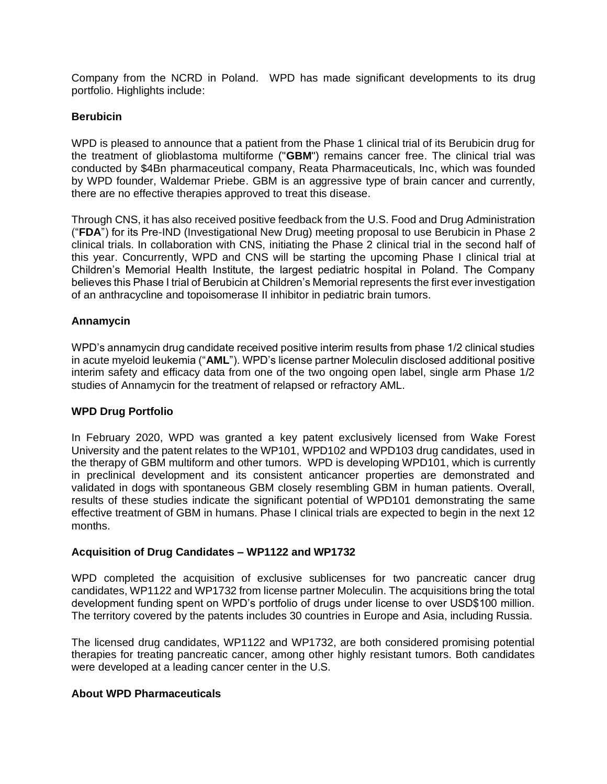Company from the NCRD in Poland. WPD has made significant developments to its drug portfolio. Highlights include:

## **Berubicin**

WPD is pleased to announce that a patient from the Phase 1 clinical trial of its Berubicin drug for the treatment of glioblastoma multiforme ("**GBM**") remains cancer free. The clinical trial was conducted by \$4Bn pharmaceutical company, Reata Pharmaceuticals, Inc, which was founded by WPD founder, Waldemar Priebe. GBM is an aggressive type of brain cancer and currently, there are no effective therapies approved to treat this disease.

Through CNS, it has also received positive feedback from the U.S. Food and Drug Administration ("**FDA**") for its Pre-IND (Investigational New Drug) meeting proposal to use Berubicin in Phase 2 clinical trials. In collaboration with CNS, initiating the Phase 2 clinical trial in the second half of this year. Concurrently, WPD and CNS will be starting the upcoming Phase I clinical trial at Children's Memorial Health Institute, the largest pediatric hospital in Poland. The Company believes this Phase I trial of Berubicin at Children's Memorial represents the first ever investigation of an anthracycline and topoisomerase II inhibitor in pediatric brain tumors.

### **Annamycin**

WPD's annamycin drug candidate received positive interim results from phase 1/2 clinical studies in acute myeloid leukemia ("**AML**"). WPD's license partner Moleculin disclosed additional positive interim safety and efficacy data from one of the two ongoing open label, single arm Phase 1/2 studies of Annamycin for the treatment of relapsed or refractory AML.

# **WPD Drug Portfolio**

In February 2020, WPD was granted a key patent exclusively licensed from Wake Forest University and the patent relates to the WP101, WPD102 and WPD103 drug candidates, used in the therapy of GBM multiform and other tumors. WPD is developing WPD101, which is currently in preclinical development and its consistent anticancer properties are demonstrated and validated in dogs with spontaneous GBM closely resembling GBM in human patients. Overall, results of these studies indicate the significant potential of WPD101 demonstrating the same effective treatment of GBM in humans. Phase I clinical trials are expected to begin in the next 12 months.

#### **Acquisition of Drug Candidates – WP1122 and WP1732**

WPD completed the acquisition of exclusive sublicenses for two pancreatic cancer drug candidates, WP1122 and WP1732 from license partner Moleculin. The acquisitions bring the total development funding spent on WPD's portfolio of drugs under license to over USD\$100 million. The territory covered by the patents includes 30 countries in Europe and Asia, including Russia.

The licensed drug candidates, WP1122 and WP1732, are both considered promising potential therapies for treating pancreatic cancer, among other highly resistant tumors. Both candidates were developed at a leading cancer center in the U.S.

#### **About WPD Pharmaceuticals**